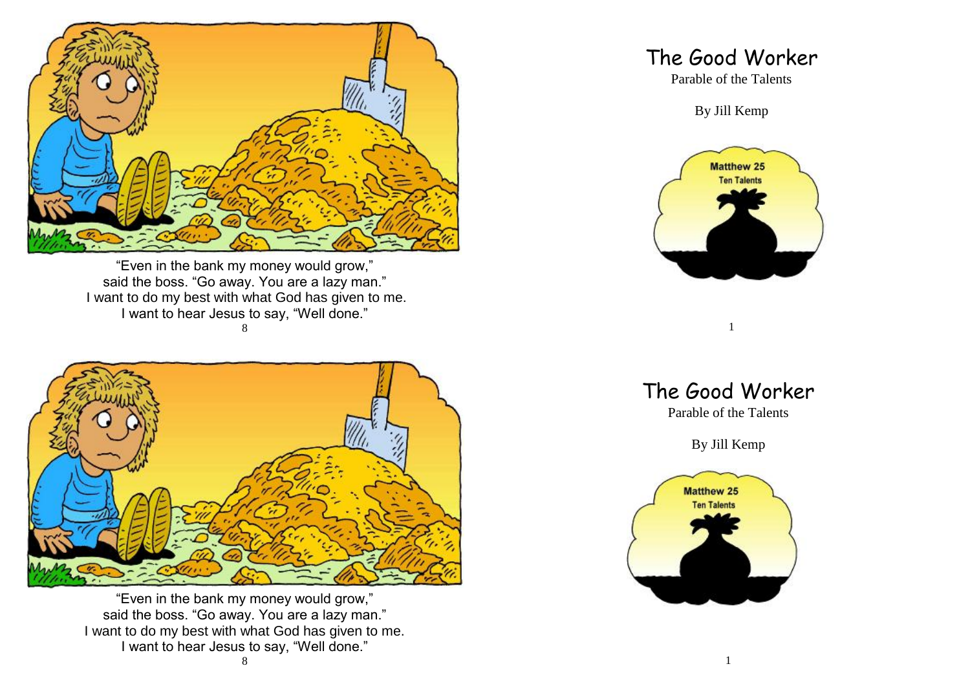

"Even in the bank my money would grow," said the boss. "Go away. You are a lazy man." I want to do my best with what God has given to me. I want to hear Jesus to say, "Well done." 8



"Even in the bank my money would grow," said the boss. "Go away. You are a lazy man." I want to do my best with what God has given to me. I want to hear Jesus to say, "Well done."

## The Good Worker

Parable of the Talents

By Jill Kemp



The Good Worker

1

Parable of the Talents

By Jill Kemp

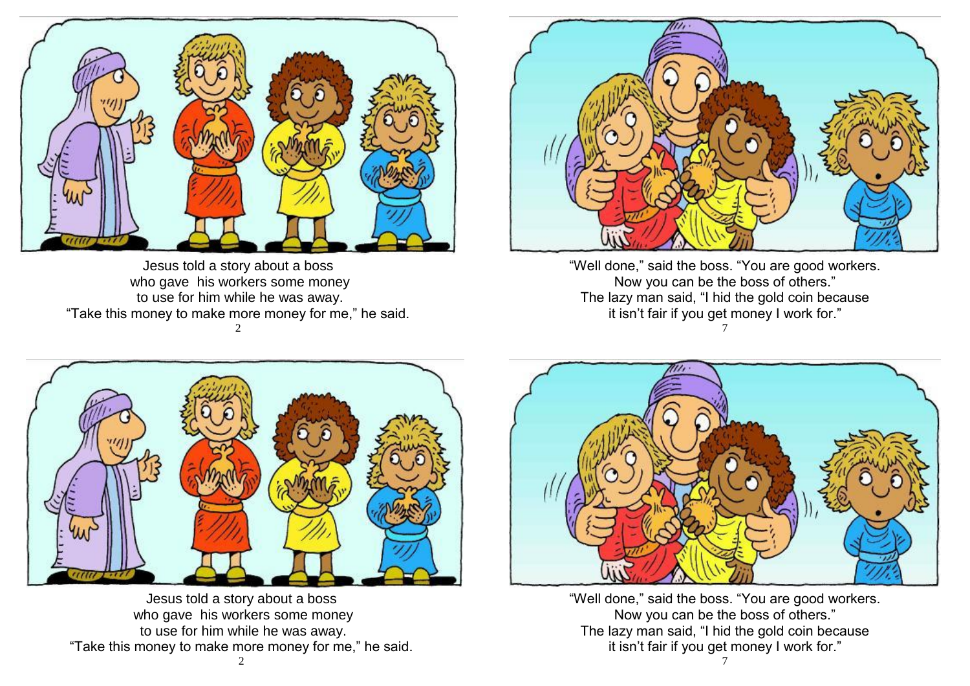

Jesus told a story about a boss who gave his workers some money to use for him while he was away. "Take this money to make more money for me," he said.  $\mathcal{D}$ 



"Well done," said the boss. "You are good workers. Now you can be the boss of others." The lazy man said, "I hid the gold coin because it isn't fair if you get money I work for." 7



Jesus told a story about a boss who gave his workers some money to use for him while he was away. "Take this money to make more money for me," he said.



"Well done," said the boss. "You are good workers. Now you can be the boss of others." The lazy man said, "I hid the gold coin because it isn't fair if you get money I work for."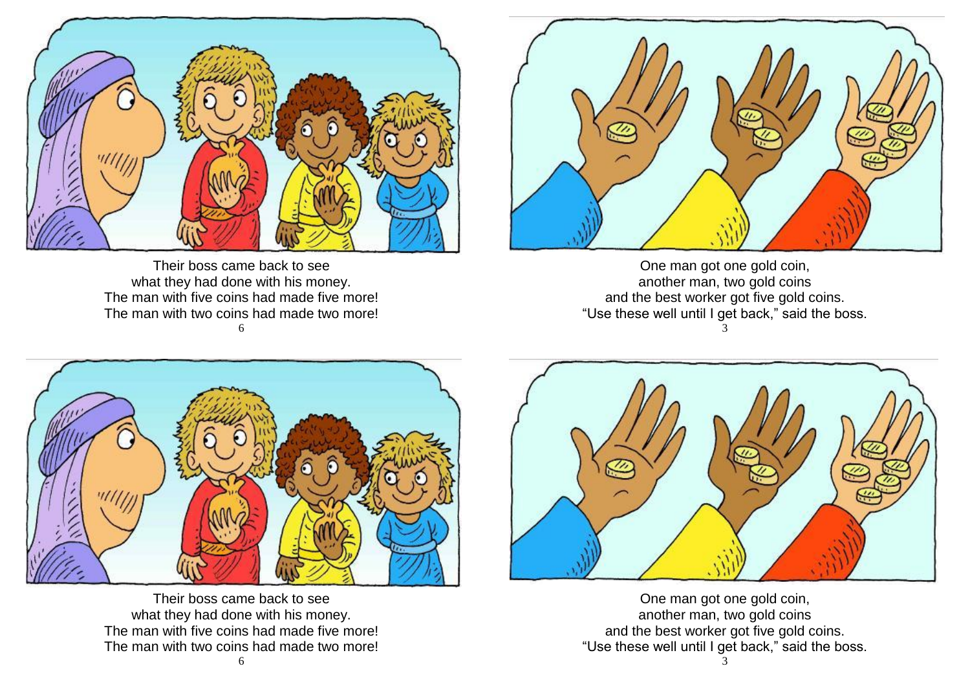

Their boss came back to see what they had done with his money. The man with five coins had made five more! The man with two coins had made two more! 6



One man got one gold coin, another man, two gold coins and the best worker got five gold coins. "Use these well until I get back," said the boss. 3



Their boss came back to see what they had done with his money. The man with five coins had made five more! The man with two coins had made two more!



One man got one gold coin, another man, two gold coins and the best worker got five gold coins. "Use these well until I get back," said the boss.